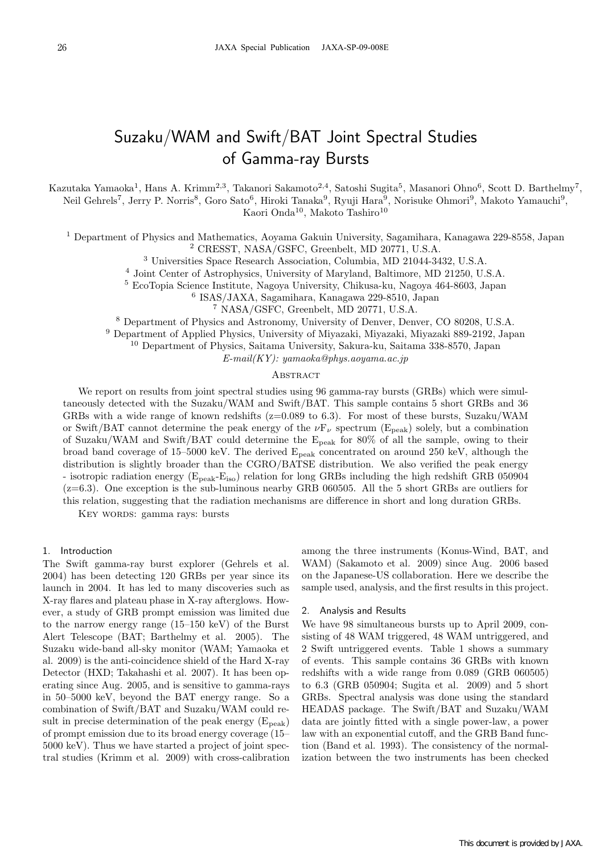# Suzaku/WAM and Swift/BAT Joint Spectral Studies of Gamma-ray Bursts

Kazutaka Yamaoka<sup>1</sup>, Hans A. Krimm<sup>2,3</sup>, Takanori Sakamoto<sup>2,4</sup>, Satoshi Sugita<sup>5</sup>, Masanori Ohno<sup>6</sup>, Scott D. Barthelmy<sup>7</sup>, Neil Gehrels<sup>7</sup>, Jerry P. Norris<sup>8</sup>, Goro Sato<sup>6</sup>, Hiroki Tanaka<sup>9</sup>, Ryuji Hara<sup>9</sup>, Norisuke Ohmori<sup>9</sup>, Makoto Yamauchi<sup>9</sup>, Kaori Onda<sup>10</sup>, Makoto Tashiro<sup>10</sup>

<sup>1</sup> Department of Physics and Mathematics, Aoyama Gakuin University, Sagamihara, Kanagawa 229-8558, Japan <sup>2</sup> CRESST, NASA/GSFC, Greenbelt, MD 20771, U.S.A.

<sup>3</sup> Universities Space Research Association, Columbia, MD 21044-3432, U.S.A.

<sup>4</sup> Joint Center of Astrophysics, University of Maryland, Baltimore, MD 21250, U.S.A.

<sup>5</sup> EcoTopia Science Institute, Nagoya University, Chikusa-ku, Nagoya 464-8603, Japan

<sup>6</sup> ISAS/JAXA, Sagamihara, Kanagawa 229-8510, Japan

<sup>7</sup> NASA/GSFC, Greenbelt, MD 20771, U.S.A.

<sup>8</sup> Department of Physics and Astronomy, University of Denver, Denver, CO 80208, U.S.A.

<sup>9</sup> Department of Applied Physics, University of Miyazaki, Miyazaki, Miyazaki 889-2192, Japan

<sup>10</sup> Department of Physics, Saitama University, Sakura-ku, Saitama 338-8570, Japan

 $E-mail(KY)$ : yamaoka@phys.aoyama.ac.jp

## **ABSTRACT**

We report on results from joint spectral studies using 96 gamma-ray bursts (GRBs) which were simultaneously detected with the Suzaku/WAM and Swift/BAT. This sample contains 5 short GRBs and 36 GRBs with a wide range of known redshifts (z=0.089 to 6.3). For most of these bursts, Suzaku/WAM or Swift/BAT cannot determine the peak energy of the  $\nu F_{\nu}$  spectrum (E<sub>peak</sub>) solely, but a combination of Suzaku/WAM and Swift/BAT could determine the  $E_{peak}$  for 80% of all the sample, owing to their broad band coverage of 15–5000 keV. The derived Epeak concentrated on around 250 keV, although the distribution is slightly broader than the CGRO/BATSE distribution. We also verified the peak energy - isotropic radiation energy  $(E_{peak} - E_{iso})$  relation for long GRBs including the high redshift GRB 050904  $(z=6.3)$ . One exception is the sub-luminous nearby GRB 060505. All the 5 short GRBs are outliers for this relation, suggesting that the radiation mechanisms are difference in short and long duration GRBs.

KEY WORDS: gamma rays: bursts

### 1. Introduction

The Swift gamma-ray burst explorer (Gehrels et al. 2004) has been detecting 120 GRBs per year since its launch in 2004. It has led to many discoveries such as X-ray flares and plateau phase in X-ray afterglows. However, a study of GRB prompt emission was limited due to the narrow energy range (15–150 keV) of the Burst Alert Telescope (BAT; Barthelmy et al. 2005). The Suzaku wide-band all-sky monitor (WAM; Yamaoka et al. 2009) is the anti-coincidence shield of the Hard X-ray Detector (HXD; Takahashi et al. 2007). It has been operating since Aug. 2005, and is sensitive to gamma-rays in 50–5000 keV, beyond the BAT energy range. So a combination of Swift/BAT and Suzaku/WAM could result in precise determination of the peak energy  $(E_{peak})$ of prompt emission due to its broad energy coverage (15– 5000 keV). Thus we have started a project of joint spectral studies (Krimm et al. 2009) with cross-calibration

among the three instruments (Konus-Wind, BAT, and WAM) (Sakamoto et al. 2009) since Aug. 2006 based on the Japanese-US collaboration. Here we describe the sample used, analysis, and the first results in this project.

### 2. Analysis and Results

We have 98 simultaneous bursts up to April 2009, consisting of 48 WAM triggered, 48 WAM untriggered, and 2 Swift untriggered events. Table 1 shows a summary of events. This sample contains 36 GRBs with known redshifts with a wide range from 0.089 (GRB 060505) to 6.3 (GRB 050904; Sugita et al. 2009) and 5 short GRBs. Spectral analysis was done using the standard HEADAS package. The Swift/BAT and Suzaku/WAM data are jointly fitted with a single power-law, a power law with an exponential cutoff, and the GRB Band function (Band et al. 1993). The consistency of the normalization between the two instruments has been checked